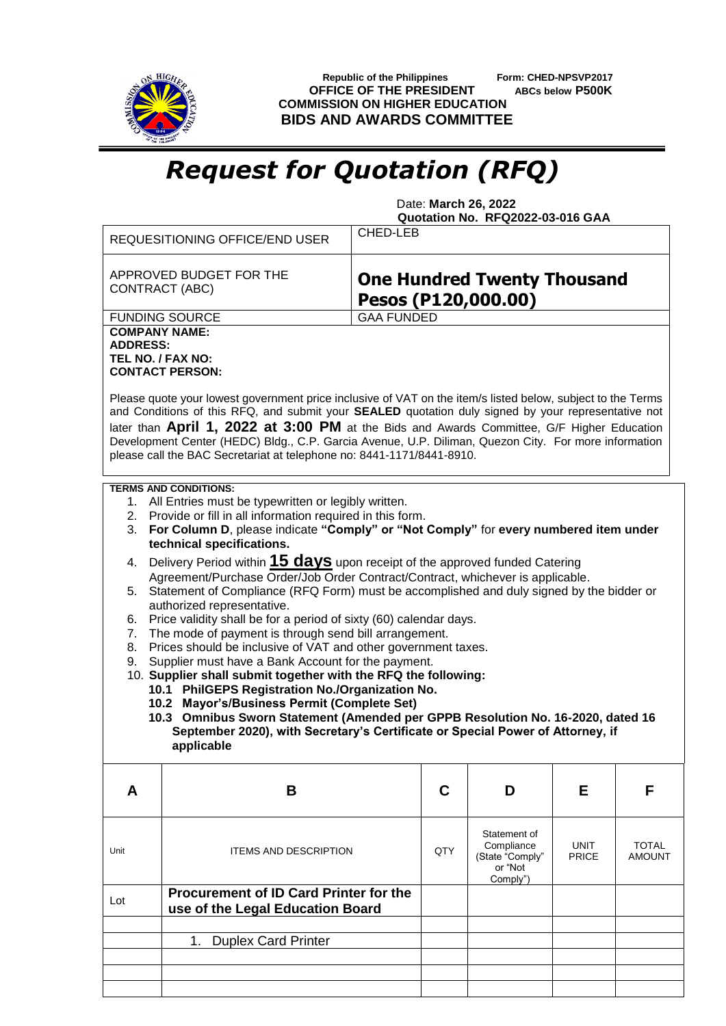

 **Republic of the Philippines Form: CHED-NPSVP2017 OFFICE OF THE PRESIDENT ABCs below P500K COMMISSION ON HIGHER EDUCATION BIDS AND AWARDS COMMITTEE**

## *Request for Quotation (RFQ)*

 Date: **March 26, 2022 Quotation No. RFQ2022-03-016 GAA**

|                                              | REQUESITIONING OFFICE/END USER                                                                                                                                                                                                                                                                                                                                                                                                                                                                                                                                                                                                                                                                                                                                                                                                                                                                                                                                                                                                                                                                                                                                                  | CHED-LEB                                                  |     |                                                                      |                             |                               |  |
|----------------------------------------------|---------------------------------------------------------------------------------------------------------------------------------------------------------------------------------------------------------------------------------------------------------------------------------------------------------------------------------------------------------------------------------------------------------------------------------------------------------------------------------------------------------------------------------------------------------------------------------------------------------------------------------------------------------------------------------------------------------------------------------------------------------------------------------------------------------------------------------------------------------------------------------------------------------------------------------------------------------------------------------------------------------------------------------------------------------------------------------------------------------------------------------------------------------------------------------|-----------------------------------------------------------|-----|----------------------------------------------------------------------|-----------------------------|-------------------------------|--|
|                                              | APPROVED BUDGET FOR THE<br>CONTRACT (ABC)                                                                                                                                                                                                                                                                                                                                                                                                                                                                                                                                                                                                                                                                                                                                                                                                                                                                                                                                                                                                                                                                                                                                       | <b>One Hundred Twenty Thousand</b><br>Pesos (P120,000.00) |     |                                                                      |                             |                               |  |
|                                              | <b>FUNDING SOURCE</b>                                                                                                                                                                                                                                                                                                                                                                                                                                                                                                                                                                                                                                                                                                                                                                                                                                                                                                                                                                                                                                                                                                                                                           | <b>GAA FUNDED</b>                                         |     |                                                                      |                             |                               |  |
| <b>COMPANY NAME:</b><br><b>ADDRESS:</b>      | TEL NO. / FAX NO:<br><b>CONTACT PERSON:</b><br>Please quote your lowest government price inclusive of VAT on the item/s listed below, subject to the Terms<br>and Conditions of this RFQ, and submit your SEALED quotation duly signed by your representative not<br>later than April 1, 2022 at 3:00 PM at the Bids and Awards Committee, G/F Higher Education<br>Development Center (HEDC) Bldg., C.P. Garcia Avenue, U.P. Diliman, Quezon City. For more information<br>please call the BAC Secretariat at telephone no: 8441-1171/8441-8910.                                                                                                                                                                                                                                                                                                                                                                                                                                                                                                                                                                                                                                |                                                           |     |                                                                      |                             |                               |  |
| 1.<br>3.<br>4.<br>5.<br>6.<br>7.<br>8.<br>9. | <b>TERMS AND CONDITIONS:</b><br>All Entries must be typewritten or legibly written.<br>2. Provide or fill in all information required in this form.<br>For Column D, please indicate "Comply" or "Not Comply" for every numbered item under<br>technical specifications.<br>Delivery Period within 15 days upon receipt of the approved funded Catering<br>Agreement/Purchase Order/Job Order Contract/Contract, whichever is applicable.<br>Statement of Compliance (RFQ Form) must be accomplished and duly signed by the bidder or<br>authorized representative.<br>Price validity shall be for a period of sixty (60) calendar days.<br>The mode of payment is through send bill arrangement.<br>Prices should be inclusive of VAT and other government taxes.<br>Supplier must have a Bank Account for the payment.<br>10. Supplier shall submit together with the RFQ the following:<br>10.1 PhilGEPS Registration No./Organization No.<br>10.2 Mayor's/Business Permit (Complete Set)<br>10.3 Omnibus Sworn Statement (Amended per GPPB Resolution No. 16-2020, dated 16<br>September 2020), with Secretary's Certificate or Special Power of Attorney, if<br>applicable |                                                           |     |                                                                      |                             |                               |  |
| A                                            | B                                                                                                                                                                                                                                                                                                                                                                                                                                                                                                                                                                                                                                                                                                                                                                                                                                                                                                                                                                                                                                                                                                                                                                               |                                                           | C   | D                                                                    | Е                           | F                             |  |
| Unit                                         | <b>ITEMS AND DESCRIPTION</b>                                                                                                                                                                                                                                                                                                                                                                                                                                                                                                                                                                                                                                                                                                                                                                                                                                                                                                                                                                                                                                                                                                                                                    |                                                           | QTY | Statement of<br>Compliance<br>(State "Comply"<br>or "Not<br>Comply") | <b>UNIT</b><br><b>PRICE</b> | <b>TOTAL</b><br><b>AMOUNT</b> |  |
| Lot                                          | Procurement of ID Card Printer for the<br>use of the Legal Education Board                                                                                                                                                                                                                                                                                                                                                                                                                                                                                                                                                                                                                                                                                                                                                                                                                                                                                                                                                                                                                                                                                                      |                                                           |     |                                                                      |                             |                               |  |
|                                              | <b>Duplex Card Printer</b><br>1.                                                                                                                                                                                                                                                                                                                                                                                                                                                                                                                                                                                                                                                                                                                                                                                                                                                                                                                                                                                                                                                                                                                                                |                                                           |     |                                                                      |                             |                               |  |
|                                              |                                                                                                                                                                                                                                                                                                                                                                                                                                                                                                                                                                                                                                                                                                                                                                                                                                                                                                                                                                                                                                                                                                                                                                                 |                                                           |     |                                                                      |                             |                               |  |
|                                              |                                                                                                                                                                                                                                                                                                                                                                                                                                                                                                                                                                                                                                                                                                                                                                                                                                                                                                                                                                                                                                                                                                                                                                                 |                                                           |     |                                                                      |                             |                               |  |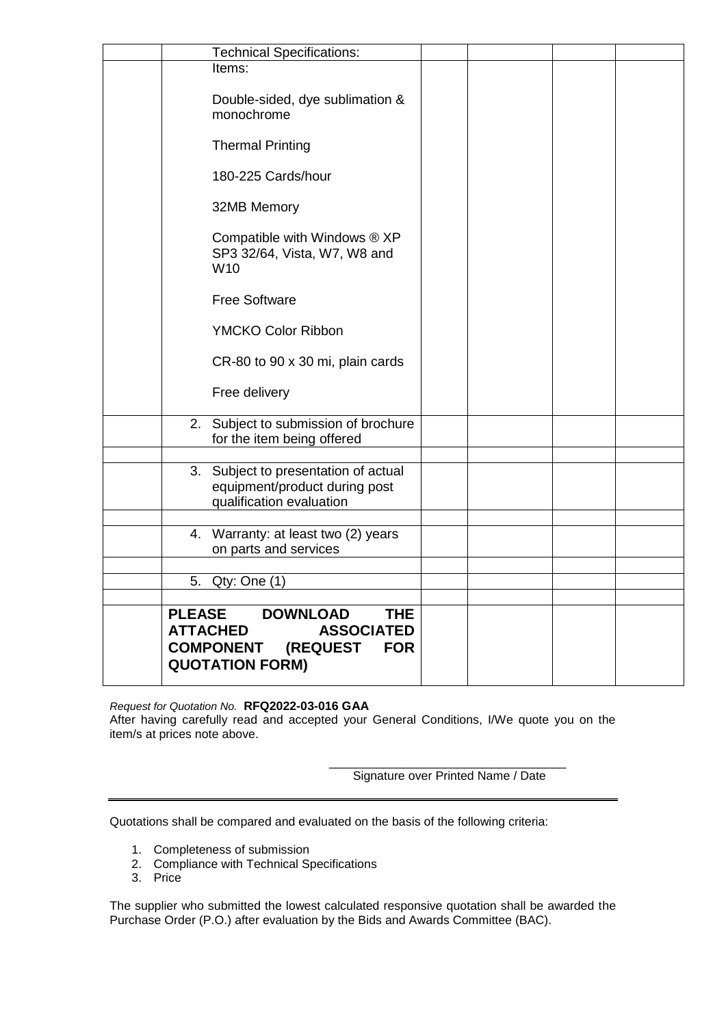| <b>Technical Specifications:</b>                                                                                                                               |  |  |
|----------------------------------------------------------------------------------------------------------------------------------------------------------------|--|--|
| Items:                                                                                                                                                         |  |  |
| Double-sided, dye sublimation &<br>monochrome                                                                                                                  |  |  |
| <b>Thermal Printing</b>                                                                                                                                        |  |  |
| 180-225 Cards/hour                                                                                                                                             |  |  |
| 32MB Memory                                                                                                                                                    |  |  |
| Compatible with Windows ® XP<br>SP3 32/64, Vista, W7, W8 and<br>W <sub>10</sub>                                                                                |  |  |
| <b>Free Software</b>                                                                                                                                           |  |  |
| <b>YMCKO Color Ribbon</b>                                                                                                                                      |  |  |
| CR-80 to 90 x 30 mi, plain cards                                                                                                                               |  |  |
| Free delivery                                                                                                                                                  |  |  |
| 2. Subject to submission of brochure<br>for the item being offered                                                                                             |  |  |
|                                                                                                                                                                |  |  |
| 3. Subject to presentation of actual<br>equipment/product during post<br>qualification evaluation                                                              |  |  |
|                                                                                                                                                                |  |  |
| 4. Warranty: at least two (2) years<br>on parts and services                                                                                                   |  |  |
|                                                                                                                                                                |  |  |
| Qty: One (1)<br>5.                                                                                                                                             |  |  |
| <b>PLEASE</b><br><b>DOWNLOAD</b><br><b>THE</b><br><b>ATTACHED</b><br><b>ASSOCIATED</b><br><b>COMPONENT</b><br>(REQUEST<br><b>FOR</b><br><b>QUOTATION FORM)</b> |  |  |

## *Request for Quotation No.* **RFQ2022-03-016 GAA**

After having carefully read and accepted your General Conditions, I/We quote you on the item/s at prices note above.

> \_\_\_\_\_\_\_\_\_\_\_\_\_\_\_\_\_\_\_\_\_\_\_\_\_\_\_\_\_\_\_\_\_\_\_ Signature over Printed Name / Date

Quotations shall be compared and evaluated on the basis of the following criteria:

- 1. Completeness of submission
- 2. Compliance with Technical Specifications
- 3. Price

The supplier who submitted the lowest calculated responsive quotation shall be awarded the Purchase Order (P.O.) after evaluation by the Bids and Awards Committee (BAC).